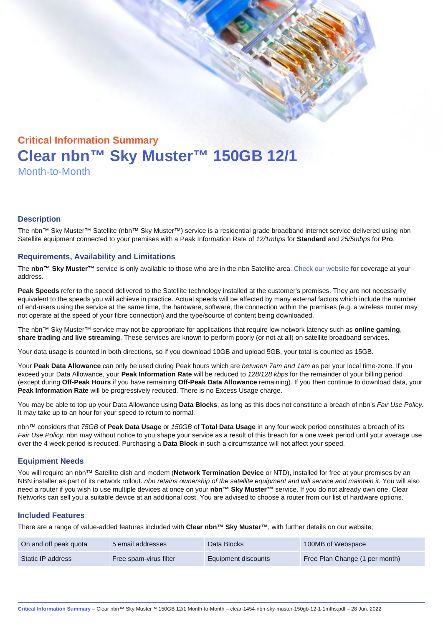# Critical Information Summary Clear nbn™ Sky Muster™ 150GB 12/1 Month-to-Month

#### **Description**

The nbn™ Sky Muster™ Satellite (nbn™ Sky Muster™) service is a residential grade broadband internet service delivered using nbn Satellite equipment connected to your premises with a Peak Information Rate of 12/1mbps for Standard and 25/5mbps for Pro.

#### Requirements, Availability and Limitations

The nbn™ Sky Muster™ service is only available to those who are in the nbn Satellite area. [Check our website](https://www.clear.com.au/residential/nbn-sky-muster/availability-coverage/) for coverage at your address.

Peak Speeds refer to the speed delivered to the Satellite technology installed at the customer's premises. They are not necessarily equivalent to the speeds you will achieve in practice. Actual speeds will be affected by many external factors which include the number of end-users using the service at the same time, the hardware, software, the connection within the premises (e.g. a wireless router may not operate at the speed of your fibre connection) and the type/source of content being downloaded.

The nbn™ Sky Muster™ service may not be appropriate for applications that require low network latency such as online gaming , share trading and live streaming . These services are known to perform poorly (or not at all) on satellite broadband services.

Your data usage is counted in both directions, so if you download 10GB and upload 5GB, your total is counted as 15GB.

Your Peak Data Allowance can only be used during Peak hours which are between 7am and 1am as per your local time-zone. If you exceed your Data Allowance, your Peak Information Rate will be reduced to 128/128 kbps for the remainder of your billing period (except during Off-Peak Hours if you have remaining Off-Peak Data Allowance remaining). If you then continue to download data, your Peak Information Rate will be progressively reduced. There is no Excess Usage charge.

You may be able to top up your Data Allowance using Data Blocks , as long as this does not constitute a breach of nbn's Fair Use Policy. It may take up to an hour for your speed to return to normal.

nbn™ considers that 75GB of Peak Data Usage or 150GB of Total Data Usage in any four week period constitutes a breach of its Fair Use Policy. nbn may without notice to you shape your service as a result of this breach for a one week period until your average use over the 4 week period is reduced. Purchasing a Data Block in such a circumstance will not affect your speed.

#### Equipment Needs

You will require an nbn™ Satellite dish and modem (Network Termination Device or NTD), installed for free at your premises by an NBN installer as part of its network rollout. nbn retains ownership of the satellite equipment and will service and maintain it. You will also need a router if you wish to use multiple devices at once on your nbn™ Sky Muster™ service. If you do not already own one, Clear Networks can sell you a suitable device at an additional cost. You are advised to choose a router from our list of hardware options.

#### Included Features

There are a range of value-added features included with Clear nbn™ Sky Muster™ , with further details on our website;

| On and off peak quota | 5 email addresses      | Data Blocks         | 100MB of Webspace              |
|-----------------------|------------------------|---------------------|--------------------------------|
| Static IP address     | Free spam-virus filter | Equipment discounts | Free Plan Change (1 per month) |